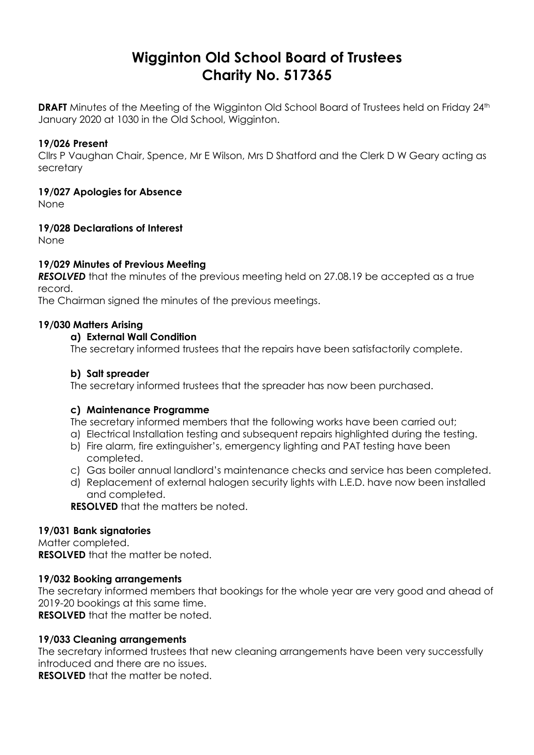# **Wigginton Old School Board of Trustees Charity No. 517365**

**DRAFT** Minutes of the Meeting of the Wigginton Old School Board of Trustees held on Friday 24<sup>th</sup> January 2020 at 1030 in the Old School, Wigginton.

## **19/026 Present**

Cllrs P Vaughan Chair, Spence, Mr E Wilson, Mrs D Shatford and the Clerk D W Geary acting as secretary

## **19/027 Apologies for Absence**

None

## **19/028 Declarations of Interest**

None

## **19/029 Minutes of Previous Meeting**

**RESOLVED** that the minutes of the previous meeting held on 27.08.19 be accepted as a true record.

The Chairman signed the minutes of the previous meetings.

### **19/030 Matters Arising**

## **a) External Wall Condition**

The secretary informed trustees that the repairs have been satisfactorily complete.

## **b) Salt spreader**

The secretary informed trustees that the spreader has now been purchased.

### **c) Maintenance Programme**

The secretary informed members that the following works have been carried out;

- a) Electrical Installation testing and subsequent repairs highlighted during the testing.
- b) Fire alarm, fire extinguisher's, emergency lighting and PAT testing have been completed.
- c) Gas boiler annual landlord's maintenance checks and service has been completed.
- d) Replacement of external halogen security lights with L.E.D. have now been installed and completed.

**RESOLVED** that the matters be noted.

### **19/031 Bank signatories**

Matter completed. **RESOLVED** that the matter be noted.

### **19/032 Booking arrangements**

The secretary informed members that bookings for the whole year are very good and ahead of 2019-20 bookings at this same time.

**RESOLVED** that the matter be noted.

### **19/033 Cleaning arrangements**

The secretary informed trustees that new cleaning arrangements have been very successfully introduced and there are no issues.

**RESOLVED** that the matter be noted.